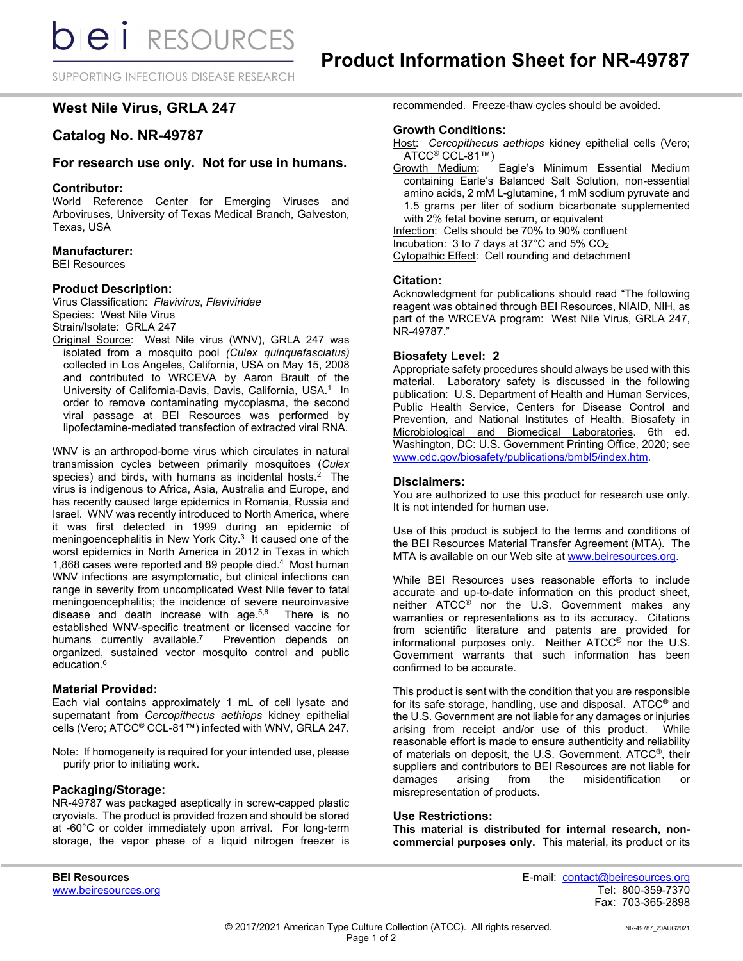SUPPORTING INFECTIOUS DISEASE RESEARCH

# **West Nile Virus, GRLA 247**

# **Catalog No. NR-49787**

## **For research use only. Not for use in humans.**

### **Contributor:**

World Reference Center for Emerging Viruses and Arboviruses, University of Texas Medical Branch, Galveston, Texas, USA

### **Manufacturer:**

BEI Resources

### **Product Description:**

Virus Classification: *Flavivirus*, *Flaviviridae* Species: West Nile Virus Strain/Isolate: GRLA 247

Original Source: West Nile virus (WNV), GRLA 247 was isolated from a mosquito pool *(Culex quinquefasciatus)* collected in Los Angeles, California, USA on May 15, 2008 and contributed to WRCEVA by Aaron Brault of the University of California-Davis, Davis, California, USA.<sup>1</sup> In order to remove contaminating mycoplasma, the second viral passage at BEI Resources was performed by lipofectamine-mediated transfection of extracted viral RNA.

WNV is an arthropod-borne virus which circulates in natural transmission cycles between primarily mosquitoes (*Culex*  species) and birds, with humans as incidental hosts. 2 The virus is indigenous to Africa, Asia, Australia and Europe, and has recently caused large epidemics in Romania, Russia and Israel. WNV was recently introduced to North America, where it was first detected in 1999 during an epidemic of meningoencephalitis in New York City.<sup>3</sup> It caused one of the worst epidemics in North America in 2012 in Texas in which 1,868 cases were reported and 89 people died.4 Most human WNV infections are asymptomatic, but clinical infections can range in severity from uncomplicated West Nile fever to fatal meningoencephalitis; the incidence of severe neuroinvasive disease and death increase with age. $5,6$  There is no established WNV-specific treatment or licensed vaccine for<br>humans currently available.<sup>7</sup> Prevention depends on humans currently available. $7$ organized, sustained vector mosquito control and public education. 6

### **Material Provided:**

Each vial contains approximately 1 mL of cell lysate and supernatant from *Cercopithecus aethiops* kidney epithelial cells (Vero; ATCC® CCL-81™) infected with WNV, GRLA 247.

Note: If homogeneity is required for your intended use, please purify prior to initiating work.

### **Packaging/Storage:**

NR-49787 was packaged aseptically in screw-capped plastic cryovials. The product is provided frozen and should be stored at -60°C or colder immediately upon arrival. For long-term storage, the vapor phase of a liquid nitrogen freezer is

recommended. Freeze-thaw cycles should be avoided.

#### **Growth Conditions:**

- Host: *Cercopithecus aethiops* kidney epithelial cells (Vero; ATCC<sup>®</sup> CCL-81™)<br>Growth Medium:
- Eagle's Minimum Essential Medium containing Earle's Balanced Salt Solution, non-essential amino acids, 2 mM L-glutamine, 1 mM sodium pyruvate and 1.5 grams per liter of sodium bicarbonate supplemented with 2% fetal bovine serum, or equivalent

Infection: Cells should be 70% to 90% confluent

Incubation: 3 to 7 days at 37°C and 5% CO2

Cytopathic Effect: Cell rounding and detachment

#### **Citation:**

Acknowledgment for publications should read "The following reagent was obtained through BEI Resources, NIAID, NIH, as part of the WRCEVA program: West Nile Virus, GRLA 247, NR-49787."

#### **Biosafety Level: 2**

Appropriate safety procedures should always be used with this material. Laboratory safety is discussed in the following publication: U.S. Department of Health and Human Services, Public Health Service, Centers for Disease Control and Prevention, and National Institutes of Health. Biosafety in Microbiological and Biomedical Laboratories. 6th ed. Washington, DC: U.S. Government Printing Office, 2020; see [www.cdc.gov/biosafety/publications/bmbl5/index.htm.](http://www.cdc.gov/biosafety/publications/bmbl5/index.htm)

#### **Disclaimers:**

You are authorized to use this product for research use only. It is not intended for human use.

Use of this product is subject to the terms and conditions of the BEI Resources Material Transfer Agreement (MTA). The MTA is available on our Web site at [www.beiresources.org.](http://www.beiresources.org/)

While BEI Resources uses reasonable efforts to include accurate and up-to-date information on this product sheet, neither ATCC® nor the U.S. Government makes any warranties or representations as to its accuracy. Citations from scientific literature and patents are provided for informational purposes only. Neither ATCC® nor the U.S. Government warrants that such information has been confirmed to be accurate.

This product is sent with the condition that you are responsible for its safe storage, handling, use and disposal. ATCC® and the U.S. Government are not liable for any damages or injuries arising from receipt and/or use of this product. While reasonable effort is made to ensure authenticity and reliability of materials on deposit, the U.S. Government, ATCC®, their suppliers and contributors to BEI Resources are not liable for<br>damages arising from the misidentification or damages arising from the misidentification or misrepresentation of products.

#### **Use Restrictions:**

**This material is distributed for internal research, noncommercial purposes only.** This material, its product or its

**BEI Resources** E-mail: contact@beiresources.org Fax: 703-365-2898